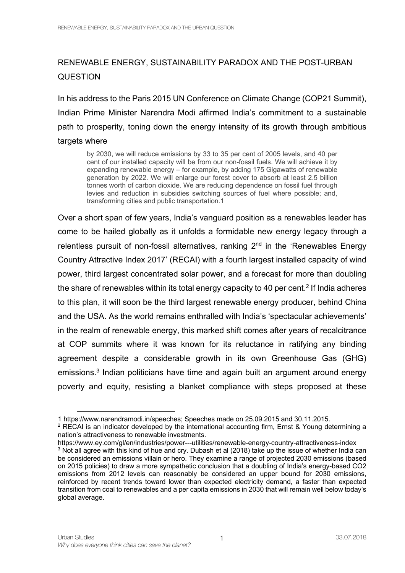## RENEWABLE ENERGY, SUSTAINABILITY PARADOX AND THE POST-URBAN **QUESTION**

In his address to the Paris 2015 UN Conference on Climate Change (COP21 Summit), Indian Prime Minister Narendra Modi affirmed India's commitment to a sustainable path to prosperity, toning down the energy intensity of its growth through ambitious targets where

by 2030, we will reduce emissions by 33 to 35 per cent of 2005 levels, and 40 per cent of our installed capacity will be from our non-fossil fuels. We will achieve it by expanding renewable energy – for example, by adding 175 Gigawatts of renewable generation by 2022. We will enlarge our forest cover to absorb at least 2.5 billion tonnes worth of carbon dioxide. We are reducing dependence on fossil fuel through levies and reduction in subsidies switching sources of fuel where possible; and, transforming cities and public transportation.1

Over a short span of few years, India's vanguard position as a renewables leader has come to be hailed globally as it unfolds a formidable new energy legacy through a relentless pursuit of non-fossil alternatives, ranking  $2<sup>nd</sup>$  in the 'Renewables Energy Country Attractive Index 2017' (RECAI) with a fourth largest installed capacity of wind power, third largest concentrated solar power, and a forecast for more than doubling the share of renewables within its total energy capacity to 40 per cent.<sup>2</sup> If India adheres to this plan, it will soon be the third largest renewable energy producer, behind China and the USA. As the world remains enthralled with India's 'spectacular achievements' in the realm of renewable energy, this marked shift comes after years of recalcitrance at COP summits where it was known for its reluctance in ratifying any binding agreement despite a considerable growth in its own Greenhouse Gas (GHG) emissions. <sup>3</sup> Indian politicians have time and again built an argument around energy poverty and equity, resisting a blanket compliance with steps proposed at these

<sup>1</sup> https://www.narendramodi.in/speeches; Speeches made on 25.09.2015 and 30.11.2015.  $2$  RECAI is an indicator developed by the international accounting firm, Ernst & Young determining a

nation's attractiveness to renewable investments.

https://www.ey.com/gl/en/industries/power---utilities/renewable-energy-country-attractiveness-index <sup>3</sup> Not all agree with this kind of hue and cry. Dubash et al (2018) take up the issue of whether India can be considered an emissions villain or hero. They examine a range of projected 2030 emissions (based on 2015 policies) to draw a more sympathetic conclusion that a doubling of India's energy-based CO2 emissions from 2012 levels can reasonably be considered an upper bound for 2030 emissions, reinforced by recent trends toward lower than expected electricity demand, a faster than expected transition from coal to renewables and a per capita emissions in 2030 that will remain well below today's global average.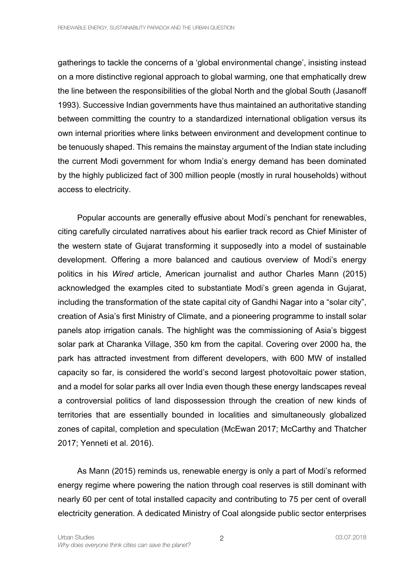gatherings to tackle the concerns of a 'global environmental change', insisting instead on a more distinctive regional approach to global warming, one that emphatically drew the line between the responsibilities of the global North and the global South (Jasanoff 1993). Successive Indian governments have thus maintained an authoritative standing between committing the country to a standardized international obligation versus its own internal priorities where links between environment and development continue to be tenuously shaped. This remains the mainstay argument of the Indian state including the current Modi government for whom India's energy demand has been dominated by the highly publicized fact of 300 million people (mostly in rural households) without access to electricity.

Popular accounts are generally effusive about Modi's penchant for renewables, citing carefully circulated narratives about his earlier track record as Chief Minister of the western state of Gujarat transforming it supposedly into a model of sustainable development. Offering a more balanced and cautious overview of Modi's energy politics in his *Wired* article, American journalist and author Charles Mann (2015) acknowledged the examples cited to substantiate Modi's green agenda in Gujarat, including the transformation of the state capital city of Gandhi Nagar into a "solar city", creation of Asia's first Ministry of Climate, and a pioneering programme to install solar panels atop irrigation canals. The highlight was the commissioning of Asia's biggest solar park at Charanka Village, 350 km from the capital. Covering over 2000 ha, the park has attracted investment from different developers, with 600 MW of installed capacity so far, is considered the world's second largest photovoltaic power station, and a model for solar parks all over India even though these energy landscapes reveal a controversial politics of land dispossession through the creation of new kinds of territories that are essentially bounded in localities and simultaneously globalized zones of capital, completion and speculation (McEwan 2017; McCarthy and Thatcher 2017; Yenneti et al. 2016).

As Mann (2015) reminds us, renewable energy is only a part of Modi's reformed energy regime where powering the nation through coal reserves is still dominant with nearly 60 per cent of total installed capacity and contributing to 75 per cent of overall electricity generation. A dedicated Ministry of Coal alongside public sector enterprises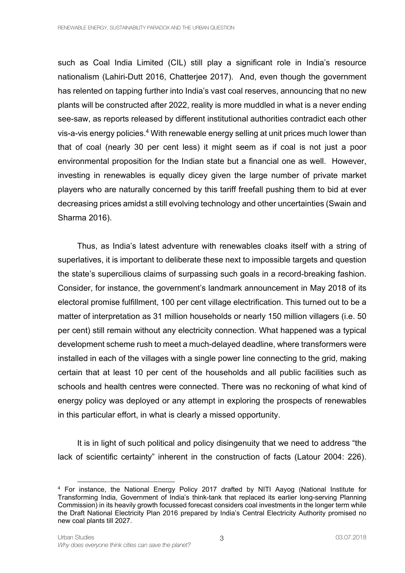such as Coal India Limited (CIL) still play a significant role in India's resource nationalism (Lahiri-Dutt 2016, Chatterjee 2017). And, even though the government has relented on tapping further into India's vast coal reserves, announcing that no new plants will be constructed after 2022, reality is more muddled in what is a never ending see-saw, as reports released by different institutional authorities contradict each other vis-a-vis energy policies.4 With renewable energy selling at unit prices much lower than that of coal (nearly 30 per cent less) it might seem as if coal is not just a poor environmental proposition for the Indian state but a financial one as well. However, investing in renewables is equally dicey given the large number of private market players who are naturally concerned by this tariff freefall pushing them to bid at ever decreasing prices amidst a still evolving technology and other uncertainties (Swain and Sharma 2016).

Thus, as India's latest adventure with renewables cloaks itself with a string of superlatives, it is important to deliberate these next to impossible targets and question the state's supercilious claims of surpassing such goals in a record-breaking fashion. Consider, for instance, the government's landmark announcement in May 2018 of its electoral promise fulfillment, 100 per cent village electrification. This turned out to be a matter of interpretation as 31 million households or nearly 150 million villagers (i.e. 50 per cent) still remain without any electricity connection. What happened was a typical development scheme rush to meet a much-delayed deadline, where transformers were installed in each of the villages with a single power line connecting to the grid, making certain that at least 10 per cent of the households and all public facilities such as schools and health centres were connected. There was no reckoning of what kind of energy policy was deployed or any attempt in exploring the prospects of renewables in this particular effort, in what is clearly a missed opportunity.

It is in light of such political and policy disingenuity that we need to address "the lack of scientific certainty" inherent in the construction of facts (Latour 2004: 226).

<sup>4</sup> For instance, the National Energy Policy 2017 drafted by NITI Aayog (National Institute for Transforming India, Government of India's think-tank that replaced its earlier long-serving Planning Commission) in its heavily growth focussed forecast considers coal investments in the longer term while the Draft National Electricity Plan 2016 prepared by India's Central Electricity Authority promised no new coal plants till 2027.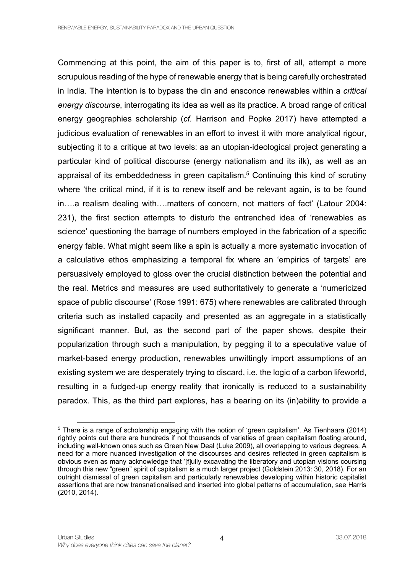Commencing at this point, the aim of this paper is to, first of all, attempt a more scrupulous reading of the hype of renewable energy that is being carefully orchestrated in India. The intention is to bypass the din and ensconce renewables within a *critical energy discourse*, interrogating its idea as well as its practice. A broad range of critical energy geographies scholarship (*cf.* Harrison and Popke 2017) have attempted a judicious evaluation of renewables in an effort to invest it with more analytical rigour, subjecting it to a critique at two levels: as an utopian-ideological project generating a particular kind of political discourse (energy nationalism and its ilk), as well as an appraisal of its embeddedness in green capitalism.<sup>5</sup> Continuing this kind of scrutiny where 'the critical mind, if it is to renew itself and be relevant again, is to be found in….a realism dealing with….matters of concern, not matters of fact' (Latour 2004: 231), the first section attempts to disturb the entrenched idea of 'renewables as science' questioning the barrage of numbers employed in the fabrication of a specific energy fable. What might seem like a spin is actually a more systematic invocation of a calculative ethos emphasizing a temporal fix where an 'empirics of targets' are persuasively employed to gloss over the crucial distinction between the potential and the real. Metrics and measures are used authoritatively to generate a 'numericized space of public discourse' (Rose 1991: 675) where renewables are calibrated through criteria such as installed capacity and presented as an aggregate in a statistically significant manner. But, as the second part of the paper shows, despite their popularization through such a manipulation, by pegging it to a speculative value of market-based energy production, renewables unwittingly import assumptions of an existing system we are desperately trying to discard, i.e. the logic of a carbon lifeworld, resulting in a fudged-up energy reality that ironically is reduced to a sustainability paradox. This, as the third part explores, has a bearing on its (in)ability to provide a

<sup>&</sup>lt;sup>5</sup> There is a range of scholarship engaging with the notion of 'green capitalism'. As Tienhaara (2014) rightly points out there are hundreds if not thousands of varieties of green capitalism floating around, including well-known ones such as Green New Deal (Luke 2009), all overlapping to various degrees. A need for a more nuanced investigation of the discourses and desires reflected in green capitalism is obvious even as many acknowledge that '[f]ully excavating the liberatory and utopian visions coursing through this new "green" spirit of capitalism is a much larger project (Goldstein 2013: 30, 2018). For an outright dismissal of green capitalism and particularly renewables developing within historic capitalist assertions that are now transnationalised and inserted into global patterns of accumulation, see Harris (2010, 2014).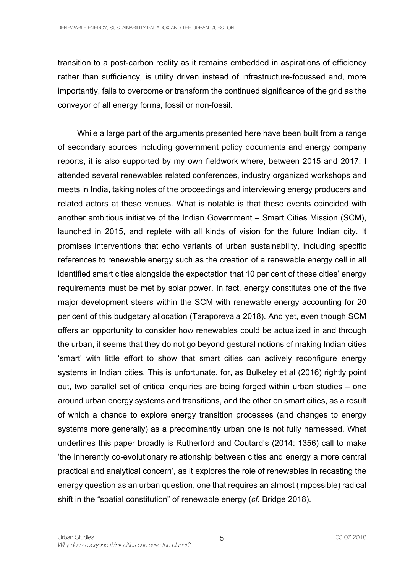transition to a post-carbon reality as it remains embedded in aspirations of efficiency rather than sufficiency, is utility driven instead of infrastructure-focussed and, more importantly, fails to overcome or transform the continued significance of the grid as the conveyor of all energy forms, fossil or non-fossil.

While a large part of the arguments presented here have been built from a range of secondary sources including government policy documents and energy company reports, it is also supported by my own fieldwork where, between 2015 and 2017, I attended several renewables related conferences, industry organized workshops and meets in India, taking notes of the proceedings and interviewing energy producers and related actors at these venues. What is notable is that these events coincided with another ambitious initiative of the Indian Government – Smart Cities Mission (SCM), launched in 2015, and replete with all kinds of vision for the future Indian city. It promises interventions that echo variants of urban sustainability, including specific references to renewable energy such as the creation of a renewable energy cell in all identified smart cities alongside the expectation that 10 per cent of these cities' energy requirements must be met by solar power. In fact, energy constitutes one of the five major development steers within the SCM with renewable energy accounting for 20 per cent of this budgetary allocation (Taraporevala 2018). And yet, even though SCM offers an opportunity to consider how renewables could be actualized in and through the urban, it seems that they do not go beyond gestural notions of making Indian cities 'smart' with little effort to show that smart cities can actively reconfigure energy systems in Indian cities. This is unfortunate, for, as Bulkeley et al (2016) rightly point out, two parallel set of critical enquiries are being forged within urban studies – one around urban energy systems and transitions, and the other on smart cities, as a result of which a chance to explore energy transition processes (and changes to energy systems more generally) as a predominantly urban one is not fully harnessed. What underlines this paper broadly is Rutherford and Coutard's (2014: 1356) call to make 'the inherently co-evolutionary relationship between cities and energy a more central practical and analytical concern', as it explores the role of renewables in recasting the energy question as an urban question, one that requires an almost (impossible) radical shift in the "spatial constitution" of renewable energy (*cf.* Bridge 2018).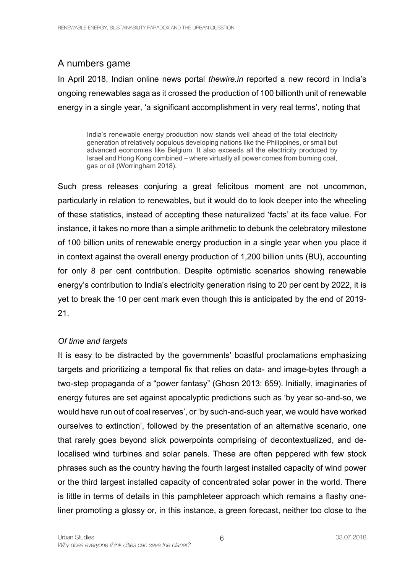# A numbers game

In April 2018, Indian online news portal *thewire.in* reported a new record in India's ongoing renewables saga as it crossed the production of 100 billionth unit of renewable energy in a single year, 'a significant accomplishment in very real terms', noting that

India's renewable energy production now stands well ahead of the total electricity generation of relatively populous developing nations like the Philippines, or small but advanced economies like Belgium. It also exceeds all the electricity produced by Israel and Hong Kong combined – where virtually all power comes from burning coal, gas or oil (Worringham 2018).

Such press releases conjuring a great felicitous moment are not uncommon, particularly in relation to renewables, but it would do to look deeper into the wheeling of these statistics, instead of accepting these naturalized 'facts' at its face value. For instance, it takes no more than a simple arithmetic to debunk the celebratory milestone of 100 billion units of renewable energy production in a single year when you place it in context against the overall energy production of 1,200 billion units (BU), accounting for only 8 per cent contribution. Despite optimistic scenarios showing renewable energy's contribution to India's electricity generation rising to 20 per cent by 2022, it is yet to break the 10 per cent mark even though this is anticipated by the end of 2019- 21.

### *Of time and targets*

It is easy to be distracted by the governments' boastful proclamations emphasizing targets and prioritizing a temporal fix that relies on data- and image-bytes through a two-step propaganda of a "power fantasy" (Ghosn 2013: 659). Initially, imaginaries of energy futures are set against apocalyptic predictions such as 'by year so-and-so, we would have run out of coal reserves', or 'by such-and-such year, we would have worked ourselves to extinction', followed by the presentation of an alternative scenario, one that rarely goes beyond slick powerpoints comprising of decontextualized, and delocalised wind turbines and solar panels. These are often peppered with few stock phrases such as the country having the fourth largest installed capacity of wind power or the third largest installed capacity of concentrated solar power in the world. There is little in terms of details in this pamphleteer approach which remains a flashy oneliner promoting a glossy or, in this instance, a green forecast, neither too close to the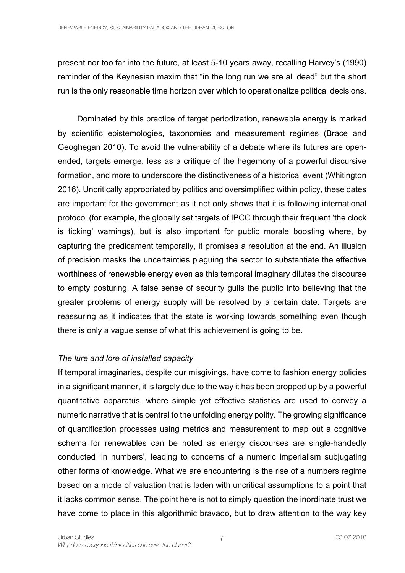present nor too far into the future, at least 5-10 years away, recalling Harvey's (1990) reminder of the Keynesian maxim that "in the long run we are all dead" but the short run is the only reasonable time horizon over which to operationalize political decisions.

Dominated by this practice of target periodization, renewable energy is marked by scientific epistemologies, taxonomies and measurement regimes (Brace and Geoghegan 2010). To avoid the vulnerability of a debate where its futures are openended, targets emerge, less as a critique of the hegemony of a powerful discursive formation, and more to underscore the distinctiveness of a historical event (Whitington 2016). Uncritically appropriated by politics and oversimplified within policy, these dates are important for the government as it not only shows that it is following international protocol (for example, the globally set targets of IPCC through their frequent 'the clock is ticking' warnings), but is also important for public morale boosting where, by capturing the predicament temporally, it promises a resolution at the end. An illusion of precision masks the uncertainties plaguing the sector to substantiate the effective worthiness of renewable energy even as this temporal imaginary dilutes the discourse to empty posturing. A false sense of security gulls the public into believing that the greater problems of energy supply will be resolved by a certain date. Targets are reassuring as it indicates that the state is working towards something even though there is only a vague sense of what this achievement is going to be.

#### *The lure and lore of installed capacity*

If temporal imaginaries, despite our misgivings, have come to fashion energy policies in a significant manner, it is largely due to the way it has been propped up by a powerful quantitative apparatus, where simple yet effective statistics are used to convey a numeric narrative that is central to the unfolding energy polity. The growing significance of quantification processes using metrics and measurement to map out a cognitive schema for renewables can be noted as energy discourses are single-handedly conducted 'in numbers', leading to concerns of a numeric imperialism subjugating other forms of knowledge. What we are encountering is the rise of a numbers regime based on a mode of valuation that is laden with uncritical assumptions to a point that it lacks common sense. The point here is not to simply question the inordinate trust we have come to place in this algorithmic bravado, but to draw attention to the way key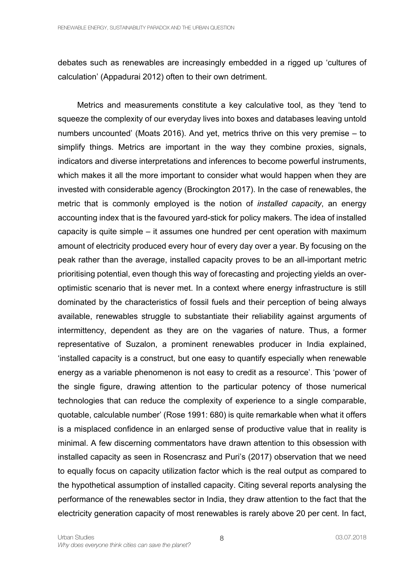debates such as renewables are increasingly embedded in a rigged up 'cultures of calculation' (Appadurai 2012) often to their own detriment.

Metrics and measurements constitute a key calculative tool, as they 'tend to squeeze the complexity of our everyday lives into boxes and databases leaving untold numbers uncounted' (Moats 2016). And yet, metrics thrive on this very premise – to simplify things. Metrics are important in the way they combine proxies, signals, indicators and diverse interpretations and inferences to become powerful instruments, which makes it all the more important to consider what would happen when they are invested with considerable agency (Brockington 2017). In the case of renewables, the metric that is commonly employed is the notion of *installed capacity*, an energy accounting index that is the favoured yard-stick for policy makers. The idea of installed capacity is quite simple – it assumes one hundred per cent operation with maximum amount of electricity produced every hour of every day over a year. By focusing on the peak rather than the average, installed capacity proves to be an all-important metric prioritising potential, even though this way of forecasting and projecting yields an overoptimistic scenario that is never met. In a context where energy infrastructure is still dominated by the characteristics of fossil fuels and their perception of being always available, renewables struggle to substantiate their reliability against arguments of intermittency, dependent as they are on the vagaries of nature. Thus, a former representative of Suzalon, a prominent renewables producer in India explained, 'installed capacity is a construct, but one easy to quantify especially when renewable energy as a variable phenomenon is not easy to credit as a resource'. This 'power of the single figure, drawing attention to the particular potency of those numerical technologies that can reduce the complexity of experience to a single comparable, quotable, calculable number' (Rose 1991: 680) is quite remarkable when what it offers is a misplaced confidence in an enlarged sense of productive value that in reality is minimal. A few discerning commentators have drawn attention to this obsession with installed capacity as seen in Rosencrasz and Puri's (2017) observation that we need to equally focus on capacity utilization factor which is the real output as compared to the hypothetical assumption of installed capacity. Citing several reports analysing the performance of the renewables sector in India, they draw attention to the fact that the electricity generation capacity of most renewables is rarely above 20 per cent. In fact,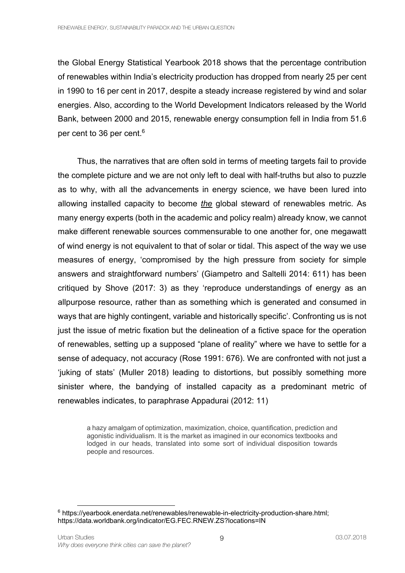the Global Energy Statistical Yearbook 2018 shows that the percentage contribution of renewables within India's electricity production has dropped from nearly 25 per cent in 1990 to 16 per cent in 2017, despite a steady increase registered by wind and solar energies. Also, according to the World Development Indicators released by the World Bank, between 2000 and 2015, renewable energy consumption fell in India from 51.6 per cent to 36 per cent.<sup>6</sup>

Thus, the narratives that are often sold in terms of meeting targets fail to provide the complete picture and we are not only left to deal with half-truths but also to puzzle as to why, with all the advancements in energy science, we have been lured into allowing installed capacity to become *the* global steward of renewables metric. As many energy experts (both in the academic and policy realm) already know, we cannot make different renewable sources commensurable to one another for, one megawatt of wind energy is not equivalent to that of solar or tidal. This aspect of the way we use measures of energy, 'compromised by the high pressure from society for simple answers and straightforward numbers' (Giampetro and Saltelli 2014: 611) has been critiqued by Shove (2017: 3) as they 'reproduce understandings of energy as an allpurpose resource, rather than as something which is generated and consumed in ways that are highly contingent, variable and historically specific'. Confronting us is not just the issue of metric fixation but the delineation of a fictive space for the operation of renewables, setting up a supposed "plane of reality" where we have to settle for a sense of adequacy, not accuracy (Rose 1991: 676). We are confronted with not just a 'juking of stats' (Muller 2018) leading to distortions, but possibly something more sinister where, the bandying of installed capacity as a predominant metric of renewables indicates, to paraphrase Appadurai (2012: 11)

a hazy amalgam of optimization, maximization, choice, quantification, prediction and agonistic individualism. It is the market as imagined in our economics textbooks and lodged in our heads, translated into some sort of individual disposition towards people and resources.

<sup>6</sup> https://yearbook.enerdata.net/renewables/renewable-in-electricity-production-share.html; https://data.worldbank.org/indicator/EG.FEC.RNEW.ZS?locations=IN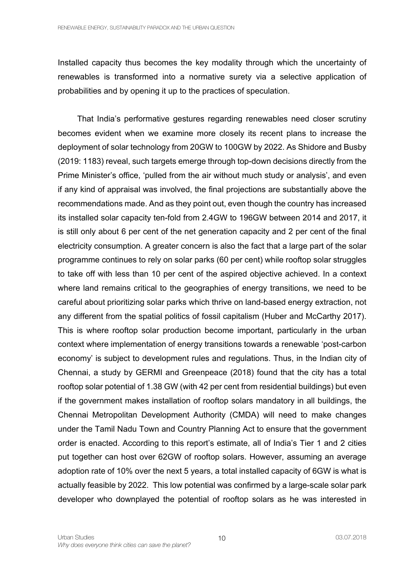Installed capacity thus becomes the key modality through which the uncertainty of renewables is transformed into a normative surety via a selective application of probabilities and by opening it up to the practices of speculation.

That India's performative gestures regarding renewables need closer scrutiny becomes evident when we examine more closely its recent plans to increase the deployment of solar technology from 20GW to 100GW by 2022. As Shidore and Busby (2019: 1183) reveal, such targets emerge through top-down decisions directly from the Prime Minister's office, 'pulled from the air without much study or analysis', and even if any kind of appraisal was involved, the final projections are substantially above the recommendations made. And as they point out, even though the country has increased its installed solar capacity ten-fold from 2.4GW to 196GW between 2014 and 2017, it is still only about 6 per cent of the net generation capacity and 2 per cent of the final electricity consumption. A greater concern is also the fact that a large part of the solar programme continues to rely on solar parks (60 per cent) while rooftop solar struggles to take off with less than 10 per cent of the aspired objective achieved. In a context where land remains critical to the geographies of energy transitions, we need to be careful about prioritizing solar parks which thrive on land-based energy extraction, not any different from the spatial politics of fossil capitalism (Huber and McCarthy 2017). This is where rooftop solar production become important, particularly in the urban context where implementation of energy transitions towards a renewable 'post-carbon economy' is subject to development rules and regulations. Thus, in the Indian city of Chennai, a study by GERMI and Greenpeace (2018) found that the city has a total rooftop solar potential of 1.38 GW (with 42 per cent from residential buildings) but even if the government makes installation of rooftop solars mandatory in all buildings, the Chennai Metropolitan Development Authority (CMDA) will need to make changes under the Tamil Nadu Town and Country Planning Act to ensure that the government order is enacted. According to this report's estimate, all of India's Tier 1 and 2 cities put together can host over 62GW of rooftop solars. However, assuming an average adoption rate of 10% over the next 5 years, a total installed capacity of 6GW is what is actually feasible by 2022. This low potential was confirmed by a large-scale solar park developer who downplayed the potential of rooftop solars as he was interested in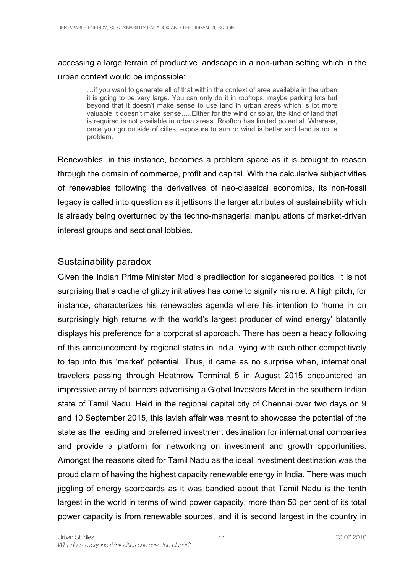## accessing a large terrain of productive landscape in a non-urban setting which in the urban context would be impossible:

…if you want to generate all of that within the context of area available in the urban it is going to be very large. You can only do it in rooftops, maybe parking lots but beyond that it doesn't make sense to use land in urban areas which is lot more valuable it doesn't make sense…..Either for the wind or solar, the kind of land that is required is not available in urban areas. Rooftop has limited potential. Whereas, once you go outside of cities, exposure to sun or wind is better and land is not a problem.

Renewables, in this instance, becomes a problem space as it is brought to reason through the domain of commerce, profit and capital. With the calculative subjectivities of renewables following the derivatives of neo-classical economics, its non-fossil legacy is called into question as it jettisons the larger attributes of sustainability which is already being overturned by the techno-managerial manipulations of market-driven interest groups and sectional lobbies.

### Sustainability paradox

Given the Indian Prime Minister Modi's predilection for sloganeered politics, it is not surprising that a cache of glitzy initiatives has come to signify his rule. A high pitch, for instance, characterizes his renewables agenda where his intention to 'home in on surprisingly high returns with the world's largest producer of wind energy' blatantly displays his preference for a corporatist approach. There has been a heady following of this announcement by regional states in India, vying with each other competitively to tap into this 'market' potential. Thus, it came as no surprise when, international travelers passing through Heathrow Terminal 5 in August 2015 encountered an impressive array of banners advertising a Global Investors Meet in the southern Indian state of Tamil Nadu. Held in the regional capital city of Chennai over two days on 9 and 10 September 2015, this lavish affair was meant to showcase the potential of the state as the leading and preferred investment destination for international companies and provide a platform for networking on investment and growth opportunities. Amongst the reasons cited for Tamil Nadu as the ideal investment destination was the proud claim of having the highest capacity renewable energy in India. There was much jiggling of energy scorecards as it was bandied about that Tamil Nadu is the tenth largest in the world in terms of wind power capacity, more than 50 per cent of its total power capacity is from renewable sources, and it is second largest in the country in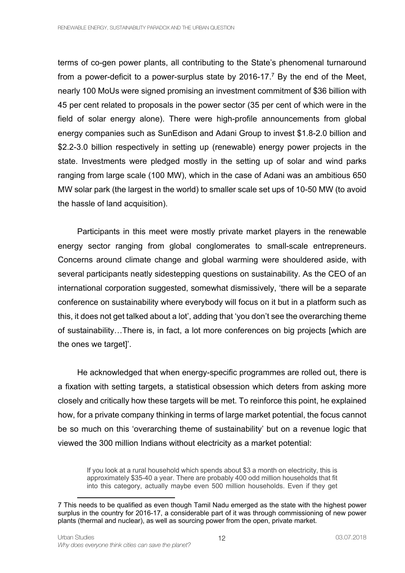terms of co-gen power plants, all contributing to the State's phenomenal turnaround from a power-deficit to a power-surplus state by 2016-17.<sup>7</sup> By the end of the Meet, nearly 100 MoUs were signed promising an investment commitment of \$36 billion with 45 per cent related to proposals in the power sector (35 per cent of which were in the field of solar energy alone). There were high-profile announcements from global energy companies such as SunEdison and Adani Group to invest \$1.8-2.0 billion and \$2.2-3.0 billion respectively in setting up (renewable) energy power projects in the state. Investments were pledged mostly in the setting up of solar and wind parks ranging from large scale (100 MW), which in the case of Adani was an ambitious 650 MW solar park (the largest in the world) to smaller scale set ups of 10-50 MW (to avoid the hassle of land acquisition).

Participants in this meet were mostly private market players in the renewable energy sector ranging from global conglomerates to small-scale entrepreneurs. Concerns around climate change and global warming were shouldered aside, with several participants neatly sidestepping questions on sustainability. As the CEO of an international corporation suggested, somewhat dismissively, 'there will be a separate conference on sustainability where everybody will focus on it but in a platform such as this, it does not get talked about a lot', adding that 'you don't see the overarching theme of sustainability…There is, in fact, a lot more conferences on big projects [which are the ones we target]'.

He acknowledged that when energy-specific programmes are rolled out, there is a fixation with setting targets, a statistical obsession which deters from asking more closely and critically how these targets will be met. To reinforce this point, he explained how, for a private company thinking in terms of large market potential, the focus cannot be so much on this 'overarching theme of sustainability' but on a revenue logic that viewed the 300 million Indians without electricity as a market potential:

If you look at a rural household which spends about \$3 a month on electricity, this is approximately \$35-40 a year. There are probably 400 odd million households that fit into this category, actually maybe even 500 million households. Even if they get

<sup>7</sup> This needs to be qualified as even though Tamil Nadu emerged as the state with the highest power surplus in the country for 2016-17, a considerable part of it was through commissioning of new power plants (thermal and nuclear), as well as sourcing power from the open, private market.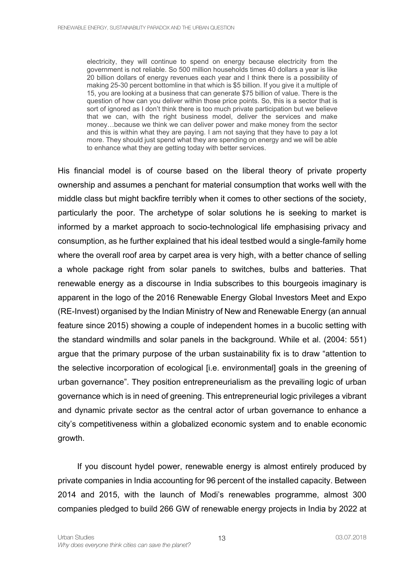electricity, they will continue to spend on energy because electricity from the government is not reliable. So 500 million households times 40 dollars a year is like 20 billion dollars of energy revenues each year and I think there is a possibility of making 25-30 percent bottomline in that which is \$5 billion. If you give it a multiple of 15, you are looking at a business that can generate \$75 billion of value. There is the question of how can you deliver within those price points. So, this is a sector that is sort of ignored as I don't think there is too much private participation but we believe that we can, with the right business model, deliver the services and make money…because we think we can deliver power and make money from the sector and this is within what they are paying. I am not saying that they have to pay a lot more. They should just spend what they are spending on energy and we will be able to enhance what they are getting today with better services.

His financial model is of course based on the liberal theory of private property ownership and assumes a penchant for material consumption that works well with the middle class but might backfire terribly when it comes to other sections of the society, particularly the poor. The archetype of solar solutions he is seeking to market is informed by a market approach to socio-technological life emphasising privacy and consumption, as he further explained that his ideal testbed would a single-family home where the overall roof area by carpet area is very high, with a better chance of selling a whole package right from solar panels to switches, bulbs and batteries. That renewable energy as a discourse in India subscribes to this bourgeois imaginary is apparent in the logo of the 2016 Renewable Energy Global Investors Meet and Expo (RE-Invest) organised by the Indian Ministry of New and Renewable Energy (an annual feature since 2015) showing a couple of independent homes in a bucolic setting with the standard windmills and solar panels in the background. While et al. (2004: 551) argue that the primary purpose of the urban sustainability fix is to draw "attention to the selective incorporation of ecological [i.e. environmental] goals in the greening of urban governance". They position entrepreneurialism as the prevailing logic of urban governance which is in need of greening. This entrepreneurial logic privileges a vibrant and dynamic private sector as the central actor of urban governance to enhance a city's competitiveness within a globalized economic system and to enable economic growth.

If you discount hydel power, renewable energy is almost entirely produced by private companies in India accounting for 96 percent of the installed capacity. Between 2014 and 2015, with the launch of Modi's renewables programme, almost 300 companies pledged to build 266 GW of renewable energy projects in India by 2022 at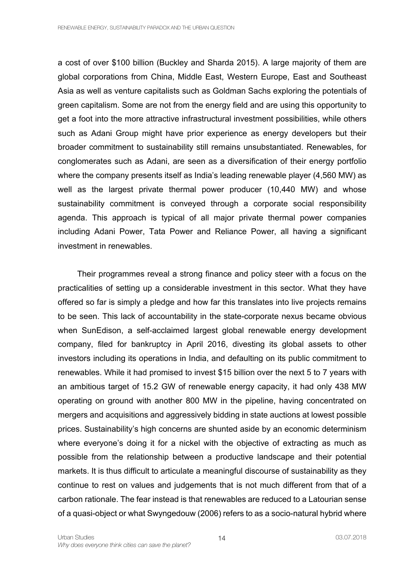a cost of over \$100 billion (Buckley and Sharda 2015). A large majority of them are global corporations from China, Middle East, Western Europe, East and Southeast Asia as well as venture capitalists such as Goldman Sachs exploring the potentials of green capitalism. Some are not from the energy field and are using this opportunity to get a foot into the more attractive infrastructural investment possibilities, while others such as Adani Group might have prior experience as energy developers but their broader commitment to sustainability still remains unsubstantiated. Renewables, for conglomerates such as Adani, are seen as a diversification of their energy portfolio where the company presents itself as India's leading renewable player (4,560 MW) as well as the largest private thermal power producer (10,440 MW) and whose sustainability commitment is conveyed through a corporate social responsibility agenda. This approach is typical of all major private thermal power companies including Adani Power, Tata Power and Reliance Power, all having a significant investment in renewables.

Their programmes reveal a strong finance and policy steer with a focus on the practicalities of setting up a considerable investment in this sector. What they have offered so far is simply a pledge and how far this translates into live projects remains to be seen. This lack of accountability in the state-corporate nexus became obvious when SunEdison, a self-acclaimed largest global renewable energy development company, filed for bankruptcy in April 2016, divesting its global assets to other investors including its operations in India, and defaulting on its public commitment to renewables. While it had promised to invest \$15 billion over the next 5 to 7 years with an ambitious target of 15.2 GW of renewable energy capacity, it had only 438 MW operating on ground with another 800 MW in the pipeline, having concentrated on mergers and acquisitions and aggressively bidding in state auctions at lowest possible prices. Sustainability's high concerns are shunted aside by an economic determinism where everyone's doing it for a nickel with the objective of extracting as much as possible from the relationship between a productive landscape and their potential markets. It is thus difficult to articulate a meaningful discourse of sustainability as they continue to rest on values and judgements that is not much different from that of a carbon rationale. The fear instead is that renewables are reduced to a Latourian sense of a quasi-object or what Swyngedouw (2006) refers to as a socio-natural hybrid where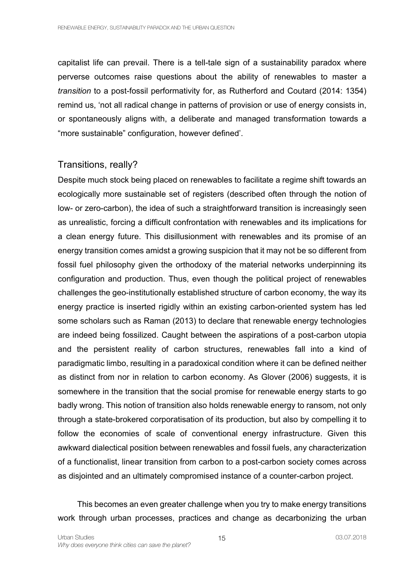capitalist life can prevail. There is a tell-tale sign of a sustainability paradox where perverse outcomes raise questions about the ability of renewables to master a *transition* to a post-fossil performativity for, as Rutherford and Coutard (2014: 1354) remind us, 'not all radical change in patterns of provision or use of energy consists in, or spontaneously aligns with, a deliberate and managed transformation towards a "more sustainable" configuration, however defined'.

### Transitions, really?

Despite much stock being placed on renewables to facilitate a regime shift towards an ecologically more sustainable set of registers (described often through the notion of low- or zero-carbon), the idea of such a straightforward transition is increasingly seen as unrealistic, forcing a difficult confrontation with renewables and its implications for a clean energy future. This disillusionment with renewables and its promise of an energy transition comes amidst a growing suspicion that it may not be so different from fossil fuel philosophy given the orthodoxy of the material networks underpinning its configuration and production. Thus, even though the political project of renewables challenges the geo-institutionally established structure of carbon economy, the way its energy practice is inserted rigidly within an existing carbon-oriented system has led some scholars such as Raman (2013) to declare that renewable energy technologies are indeed being fossilized. Caught between the aspirations of a post-carbon utopia and the persistent reality of carbon structures, renewables fall into a kind of paradigmatic limbo, resulting in a paradoxical condition where it can be defined neither as distinct from nor in relation to carbon economy. As Glover (2006) suggests, it is somewhere in the transition that the social promise for renewable energy starts to go badly wrong. This notion of transition also holds renewable energy to ransom, not only through a state-brokered corporatisation of its production, but also by compelling it to follow the economies of scale of conventional energy infrastructure. Given this awkward dialectical position between renewables and fossil fuels, any characterization of a functionalist, linear transition from carbon to a post-carbon society comes across as disjointed and an ultimately compromised instance of a counter-carbon project.

This becomes an even greater challenge when you try to make energy transitions work through urban processes, practices and change as decarbonizing the urban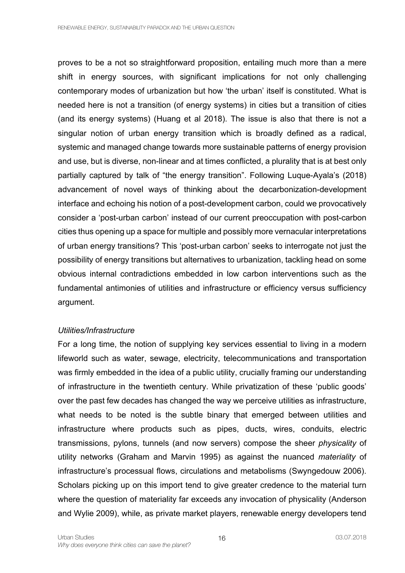proves to be a not so straightforward proposition, entailing much more than a mere shift in energy sources, with significant implications for not only challenging contemporary modes of urbanization but how 'the urban' itself is constituted. What is needed here is not a transition (of energy systems) in cities but a transition of cities (and its energy systems) (Huang et al 2018). The issue is also that there is not a singular notion of urban energy transition which is broadly defined as a radical, systemic and managed change towards more sustainable patterns of energy provision and use, but is diverse, non-linear and at times conflicted, a plurality that is at best only partially captured by talk of "the energy transition". Following Luque-Ayala's (2018) advancement of novel ways of thinking about the decarbonization-development interface and echoing his notion of a post-development carbon, could we provocatively consider a 'post-urban carbon' instead of our current preoccupation with post-carbon cities thus opening up a space for multiple and possibly more vernacular interpretations of urban energy transitions? This 'post-urban carbon' seeks to interrogate not just the possibility of energy transitions but alternatives to urbanization, tackling head on some obvious internal contradictions embedded in low carbon interventions such as the fundamental antimonies of utilities and infrastructure or efficiency versus sufficiency argument.

#### *Utilities/Infrastructure*

For a long time, the notion of supplying key services essential to living in a modern lifeworld such as water, sewage, electricity, telecommunications and transportation was firmly embedded in the idea of a public utility, crucially framing our understanding of infrastructure in the twentieth century. While privatization of these 'public goods' over the past few decades has changed the way we perceive utilities as infrastructure, what needs to be noted is the subtle binary that emerged between utilities and infrastructure where products such as pipes, ducts, wires, conduits, electric transmissions, pylons, tunnels (and now servers) compose the sheer *physicality* of utility networks (Graham and Marvin 1995) as against the nuanced *materiality* of infrastructure's processual flows, circulations and metabolisms (Swyngedouw 2006). Scholars picking up on this import tend to give greater credence to the material turn where the question of materiality far exceeds any invocation of physicality (Anderson and Wylie 2009), while, as private market players, renewable energy developers tend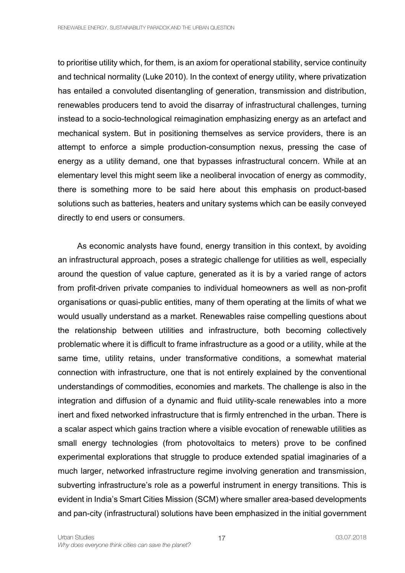to prioritise utility which, for them, is an axiom for operational stability, service continuity and technical normality (Luke 2010). In the context of energy utility, where privatization has entailed a convoluted disentangling of generation, transmission and distribution, renewables producers tend to avoid the disarray of infrastructural challenges, turning instead to a socio-technological reimagination emphasizing energy as an artefact and mechanical system. But in positioning themselves as service providers, there is an attempt to enforce a simple production-consumption nexus, pressing the case of energy as a utility demand, one that bypasses infrastructural concern. While at an elementary level this might seem like a neoliberal invocation of energy as commodity, there is something more to be said here about this emphasis on product-based solutions such as batteries, heaters and unitary systems which can be easily conveyed directly to end users or consumers.

As economic analysts have found, energy transition in this context, by avoiding an infrastructural approach, poses a strategic challenge for utilities as well, especially around the question of value capture, generated as it is by a varied range of actors from profit-driven private companies to individual homeowners as well as non-profit organisations or quasi-public entities, many of them operating at the limits of what we would usually understand as a market. Renewables raise compelling questions about the relationship between utilities and infrastructure, both becoming collectively problematic where it is difficult to frame infrastructure as a good or a utility, while at the same time, utility retains, under transformative conditions, a somewhat material connection with infrastructure, one that is not entirely explained by the conventional understandings of commodities, economies and markets. The challenge is also in the integration and diffusion of a dynamic and fluid utility-scale renewables into a more inert and fixed networked infrastructure that is firmly entrenched in the urban. There is a scalar aspect which gains traction where a visible evocation of renewable utilities as small energy technologies (from photovoltaics to meters) prove to be confined experimental explorations that struggle to produce extended spatial imaginaries of a much larger, networked infrastructure regime involving generation and transmission, subverting infrastructure's role as a powerful instrument in energy transitions. This is evident in India's Smart Cities Mission (SCM) where smaller area-based developments and pan-city (infrastructural) solutions have been emphasized in the initial government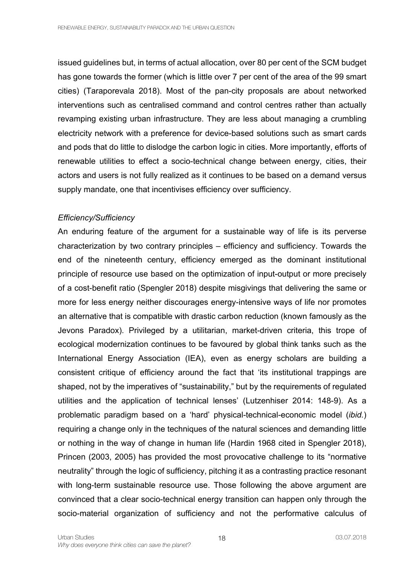issued guidelines but, in terms of actual allocation, over 80 per cent of the SCM budget has gone towards the former (which is little over 7 per cent of the area of the 99 smart cities) (Taraporevala 2018). Most of the pan-city proposals are about networked interventions such as centralised command and control centres rather than actually revamping existing urban infrastructure. They are less about managing a crumbling electricity network with a preference for device-based solutions such as smart cards and pods that do little to dislodge the carbon logic in cities. More importantly, efforts of renewable utilities to effect a socio-technical change between energy, cities, their actors and users is not fully realized as it continues to be based on a demand versus supply mandate, one that incentivises efficiency over sufficiency.

#### *Efficiency/Sufficiency*

An enduring feature of the argument for a sustainable way of life is its perverse characterization by two contrary principles – efficiency and sufficiency. Towards the end of the nineteenth century, efficiency emerged as the dominant institutional principle of resource use based on the optimization of input-output or more precisely of a cost-benefit ratio (Spengler 2018) despite misgivings that delivering the same or more for less energy neither discourages energy-intensive ways of life nor promotes an alternative that is compatible with drastic carbon reduction (known famously as the Jevons Paradox). Privileged by a utilitarian, market-driven criteria, this trope of ecological modernization continues to be favoured by global think tanks such as the International Energy Association (IEA), even as energy scholars are building a consistent critique of efficiency around the fact that 'its institutional trappings are shaped, not by the imperatives of "sustainability," but by the requirements of regulated utilities and the application of technical lenses' (Lutzenhiser 2014: 148-9). As a problematic paradigm based on a 'hard' physical-technical-economic model (*ibid.*) requiring a change only in the techniques of the natural sciences and demanding little or nothing in the way of change in human life (Hardin 1968 cited in Spengler 2018), Princen (2003, 2005) has provided the most provocative challenge to its "normative neutrality" through the logic of sufficiency, pitching it as a contrasting practice resonant with long-term sustainable resource use. Those following the above argument are convinced that a clear socio-technical energy transition can happen only through the socio-material organization of sufficiency and not the performative calculus of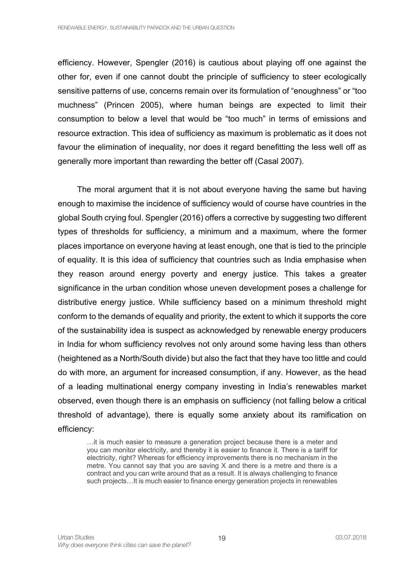efficiency. However, Spengler (2016) is cautious about playing off one against the other for, even if one cannot doubt the principle of sufficiency to steer ecologically sensitive patterns of use, concerns remain over its formulation of "enoughness" or "too muchness" (Princen 2005), where human beings are expected to limit their consumption to below a level that would be "too much" in terms of emissions and resource extraction. This idea of sufficiency as maximum is problematic as it does not favour the elimination of inequality, nor does it regard benefitting the less well off as generally more important than rewarding the better off (Casal 2007).

The moral argument that it is not about everyone having the same but having enough to maximise the incidence of sufficiency would of course have countries in the global South crying foul. Spengler (2016) offers a corrective by suggesting two different types of thresholds for sufficiency, a minimum and a maximum, where the former places importance on everyone having at least enough, one that is tied to the principle of equality. It is this idea of sufficiency that countries such as India emphasise when they reason around energy poverty and energy justice. This takes a greater significance in the urban condition whose uneven development poses a challenge for distributive energy justice. While sufficiency based on a minimum threshold might conform to the demands of equality and priority, the extent to which it supports the core of the sustainability idea is suspect as acknowledged by renewable energy producers in India for whom sufficiency revolves not only around some having less than others (heightened as a North/South divide) but also the fact that they have too little and could do with more, an argument for increased consumption, if any. However, as the head of a leading multinational energy company investing in India's renewables market observed, even though there is an emphasis on sufficiency (not falling below a critical threshold of advantage), there is equally some anxiety about its ramification on efficiency:

…it is much easier to measure a generation project because there is a meter and you can monitor electricity, and thereby it is easier to finance it. There is a tariff for electricity, right? Whereas for efficiency improvements there is no mechanism in the metre. You cannot say that you are saving X and there is a metre and there is a contract and you can write around that as a result. It is always challenging to finance such projects…It is much easier to finance energy generation projects in renewables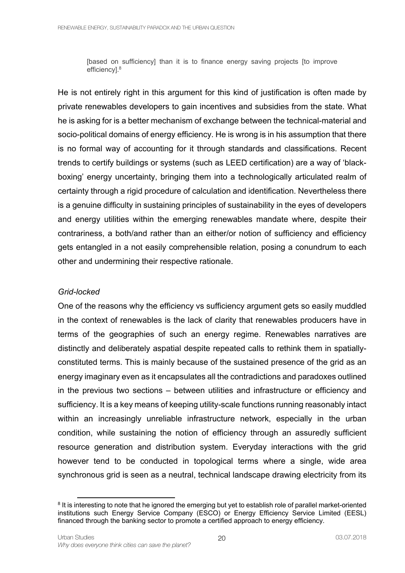[based on sufficiency] than it is to finance energy saving projects [to improve efficiency].<sup>8</sup>

He is not entirely right in this argument for this kind of justification is often made by private renewables developers to gain incentives and subsidies from the state. What he is asking for is a better mechanism of exchange between the technical-material and socio-political domains of energy efficiency. He is wrong is in his assumption that there is no formal way of accounting for it through standards and classifications. Recent trends to certify buildings or systems (such as LEED certification) are a way of 'blackboxing' energy uncertainty, bringing them into a technologically articulated realm of certainty through a rigid procedure of calculation and identification. Nevertheless there is a genuine difficulty in sustaining principles of sustainability in the eyes of developers and energy utilities within the emerging renewables mandate where, despite their contrariness, a both/and rather than an either/or notion of sufficiency and efficiency gets entangled in a not easily comprehensible relation, posing a conundrum to each other and undermining their respective rationale.

#### *Grid-locked*

One of the reasons why the efficiency vs sufficiency argument gets so easily muddled in the context of renewables is the lack of clarity that renewables producers have in terms of the geographies of such an energy regime. Renewables narratives are distinctly and deliberately aspatial despite repeated calls to rethink them in spatiallyconstituted terms. This is mainly because of the sustained presence of the grid as an energy imaginary even as it encapsulates all the contradictions and paradoxes outlined in the previous two sections – between utilities and infrastructure or efficiency and sufficiency. It is a key means of keeping utility-scale functions running reasonably intact within an increasingly unreliable infrastructure network, especially in the urban condition, while sustaining the notion of efficiency through an assuredly sufficient resource generation and distribution system. Everyday interactions with the grid however tend to be conducted in topological terms where a single, wide area synchronous grid is seen as a neutral, technical landscape drawing electricity from its

<sup>&</sup>lt;sup>8</sup> It is interesting to note that he ignored the emerging but yet to establish role of parallel market-oriented institutions such Energy Service Company (ESCO) or Energy Efficiency Service Limited (EESL) financed through the banking sector to promote a certified approach to energy efficiency.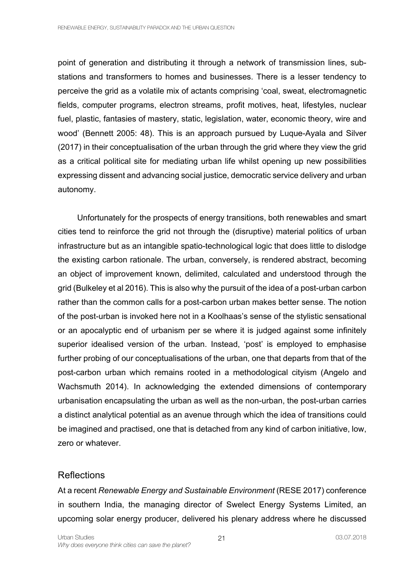point of generation and distributing it through a network of transmission lines, substations and transformers to homes and businesses. There is a lesser tendency to perceive the grid as a volatile mix of actants comprising 'coal, sweat, electromagnetic fields, computer programs, electron streams, profit motives, heat, lifestyles, nuclear fuel, plastic, fantasies of mastery, static, legislation, water, economic theory, wire and wood' (Bennett 2005: 48). This is an approach pursued by Luque-Ayala and Silver (2017) in their conceptualisation of the urban through the grid where they view the grid as a critical political site for mediating urban life whilst opening up new possibilities expressing dissent and advancing social justice, democratic service delivery and urban autonomy.

Unfortunately for the prospects of energy transitions, both renewables and smart cities tend to reinforce the grid not through the (disruptive) material politics of urban infrastructure but as an intangible spatio-technological logic that does little to dislodge the existing carbon rationale. The urban, conversely, is rendered abstract, becoming an object of improvement known, delimited, calculated and understood through the grid (Bulkeley et al 2016). This is also why the pursuit of the idea of a post-urban carbon rather than the common calls for a post-carbon urban makes better sense. The notion of the post-urban is invoked here not in a Koolhaas's sense of the stylistic sensational or an apocalyptic end of urbanism per se where it is judged against some infinitely superior idealised version of the urban. Instead, 'post' is employed to emphasise further probing of our conceptualisations of the urban, one that departs from that of the post-carbon urban which remains rooted in a methodological cityism (Angelo and Wachsmuth 2014). In acknowledging the extended dimensions of contemporary urbanisation encapsulating the urban as well as the non-urban, the post-urban carries a distinct analytical potential as an avenue through which the idea of transitions could be imagined and practised, one that is detached from any kind of carbon initiative, low, zero or whatever.

### **Reflections**

At a recent *Renewable Energy and Sustainable Environment* (RESE 2017) conference in southern India, the managing director of Swelect Energy Systems Limited, an upcoming solar energy producer, delivered his plenary address where he discussed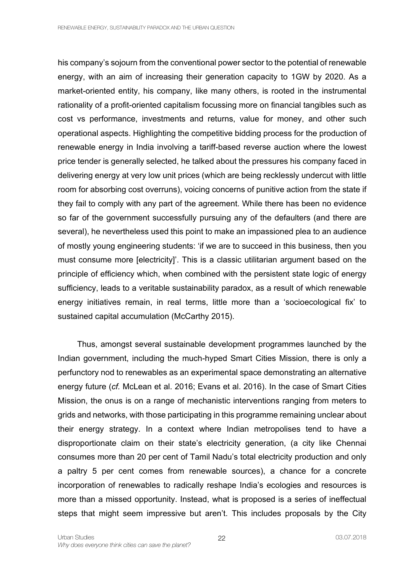his company's sojourn from the conventional power sector to the potential of renewable energy, with an aim of increasing their generation capacity to 1GW by 2020. As a market-oriented entity, his company, like many others, is rooted in the instrumental rationality of a profit-oriented capitalism focussing more on financial tangibles such as cost vs performance, investments and returns, value for money, and other such operational aspects. Highlighting the competitive bidding process for the production of renewable energy in India involving a tariff-based reverse auction where the lowest price tender is generally selected, he talked about the pressures his company faced in delivering energy at very low unit prices (which are being recklessly undercut with little room for absorbing cost overruns), voicing concerns of punitive action from the state if they fail to comply with any part of the agreement. While there has been no evidence so far of the government successfully pursuing any of the defaulters (and there are several), he nevertheless used this point to make an impassioned plea to an audience of mostly young engineering students: 'if we are to succeed in this business, then you must consume more [electricity]'. This is a classic utilitarian argument based on the principle of efficiency which, when combined with the persistent state logic of energy sufficiency, leads to a veritable sustainability paradox, as a result of which renewable energy initiatives remain, in real terms, little more than a 'socioecological fix' to sustained capital accumulation (McCarthy 2015).

Thus, amongst several sustainable development programmes launched by the Indian government, including the much-hyped Smart Cities Mission, there is only a perfunctory nod to renewables as an experimental space demonstrating an alternative energy future (*cf.* McLean et al. 2016; Evans et al. 2016). In the case of Smart Cities Mission, the onus is on a range of mechanistic interventions ranging from meters to grids and networks, with those participating in this programme remaining unclear about their energy strategy. In a context where Indian metropolises tend to have a disproportionate claim on their state's electricity generation, (a city like Chennai consumes more than 20 per cent of Tamil Nadu's total electricity production and only a paltry 5 per cent comes from renewable sources), a chance for a concrete incorporation of renewables to radically reshape India's ecologies and resources is more than a missed opportunity. Instead, what is proposed is a series of ineffectual steps that might seem impressive but aren't. This includes proposals by the City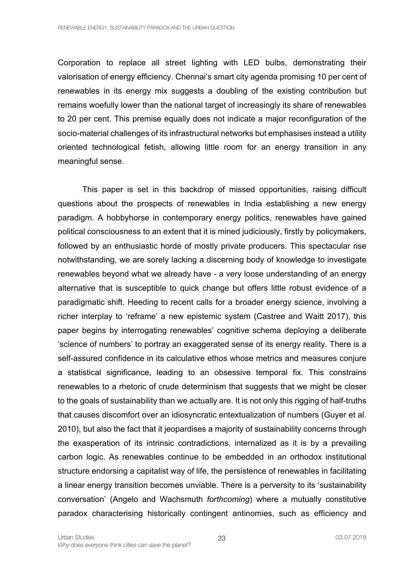Corporation to replace all street lighting with LED bulbs, demonstrating their valorisation of energy efficiency. Chennai's smart city agenda promising 10 per cent of renewables in its energy mix suggests a doubling of the existing contribution but remains woefully lower than the national target of increasingly its share of renewables to 20 per cent. This premise equally does not indicate a major reconfiguration of the socio-material challenges of its infrastructural networks but emphasises instead a utility oriented technological fetish, allowing little room for an energy transition in any meaningful sense.

This paper is set in this backdrop of missed opportunities, raising difficult questions about the prospects of renewables in India establishing a new energy paradigm. A hobbyhorse in contemporary energy politics, renewables have gained political consciousness to an extent that it is mined judiciously, firstly by policymakers, followed by an enthusiastic horde of mostly private producers. This spectacular rise notwithstanding, we are sorely lacking a discerning body of knowledge to investigate renewables beyond what we already have - a very loose understanding of an energy alternative that is susceptible to quick change but offers little robust evidence of a paradigmatic shift. Heeding to recent calls for a broader energy science, involving a richer interplay to 'reframe' a new epistemic system (Castree and Waitt 2017), this paper begins by interrogating renewables' cognitive schema deploying a deliberate 'science of numbers' to portray an exaggerated sense of its energy reality. There is a self-assured confidence in its calculative ethos whose metrics and measures conjure a statistical significance, leading to an obsessive temporal fix. This constrains renewables to a rhetoric of crude determinism that suggests that we might be closer to the goals of sustainability than we actually are. It is not only this rigging of half-truths that causes discomfort over an idiosyncratic entextualization of numbers (Guyer et al. 2010), but also the fact that it jeopardises a majority of sustainability concerns through the exasperation of its intrinsic contradictions, internalized as it is by a prevailing carbon logic. As renewables continue to be embedded in an orthodox institutional structure endorsing a capitalist way of life, the persistence of renewables in facilitating a linear energy transition becomes unviable. There is a perversity to its 'sustainability conversation' (Angelo and Wachsmuth *forthcoming*) where a mutually constitutive paradox characterising historically contingent antinomies, such as efficiency and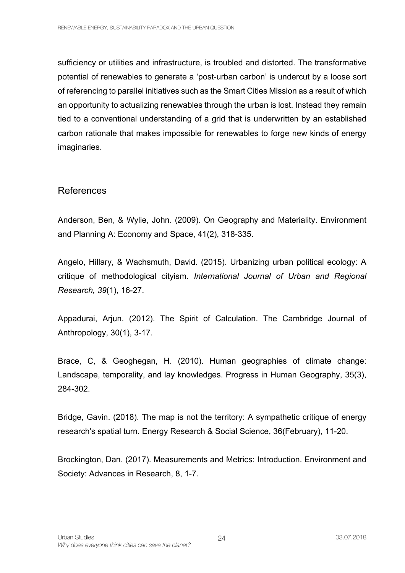sufficiency or utilities and infrastructure, is troubled and distorted. The transformative potential of renewables to generate a 'post-urban carbon' is undercut by a loose sort of referencing to parallel initiatives such as the Smart Cities Mission as a result of which an opportunity to actualizing renewables through the urban is lost. Instead they remain tied to a conventional understanding of a grid that is underwritten by an established carbon rationale that makes impossible for renewables to forge new kinds of energy imaginaries.

### References

Anderson, Ben, & Wylie, John. (2009). On Geography and Materiality. Environment and Planning A: Economy and Space, 41(2), 318-335.

Angelo, Hillary, & Wachsmuth, David. (2015). Urbanizing urban political ecology: A critique of methodological cityism. *International Journal of Urban and Regional Research, 39*(1), 16-27.

Appadurai, Arjun. (2012). The Spirit of Calculation. The Cambridge Journal of Anthropology, 30(1), 3-17.

Brace, C, & Geoghegan, H. (2010). Human geographies of climate change: Landscape, temporality, and lay knowledges. Progress in Human Geography, 35(3), 284-302.

Bridge, Gavin. (2018). The map is not the territory: A sympathetic critique of energy research's spatial turn. Energy Research & Social Science, 36(February), 11-20.

Brockington, Dan. (2017). Measurements and Metrics: Introduction. Environment and Society: Advances in Research, 8, 1-7.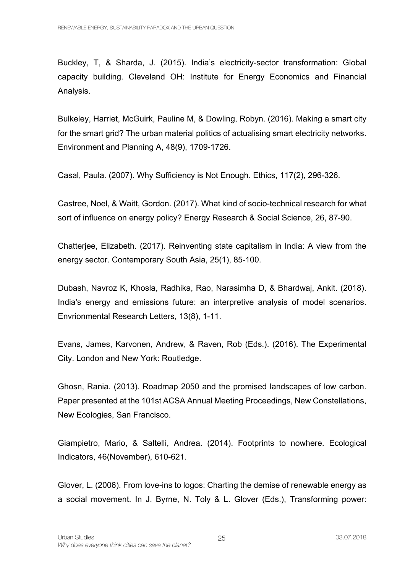Buckley, T, & Sharda, J. (2015). India's electricity-sector transformation: Global capacity building. Cleveland OH: Institute for Energy Economics and Financial Analysis.

Bulkeley, Harriet, McGuirk, Pauline M, & Dowling, Robyn. (2016). Making a smart city for the smart grid? The urban material politics of actualising smart electricity networks. Environment and Planning A, 48(9), 1709-1726.

Casal, Paula. (2007). Why Sufficiency is Not Enough. Ethics, 117(2), 296-326.

Castree, Noel, & Waitt, Gordon. (2017). What kind of socio-technical research for what sort of influence on energy policy? Energy Research & Social Science, 26, 87-90.

Chatterjee, Elizabeth. (2017). Reinventing state capitalism in India: A view from the energy sector. Contemporary South Asia, 25(1), 85-100.

Dubash, Navroz K, Khosla, Radhika, Rao, Narasimha D, & Bhardwaj, Ankit. (2018). India's energy and emissions future: an interpretive analysis of model scenarios. Envrionmental Research Letters, 13(8), 1-11.

Evans, James, Karvonen, Andrew, & Raven, Rob (Eds.). (2016). The Experimental City. London and New York: Routledge.

Ghosn, Rania. (2013). Roadmap 2050 and the promised landscapes of low carbon. Paper presented at the 101st ACSA Annual Meeting Proceedings, New Constellations, New Ecologies, San Francisco.

Giampietro, Mario, & Saltelli, Andrea. (2014). Footprints to nowhere. Ecological Indicators, 46(November), 610-621.

Glover, L. (2006). From love-ins to logos: Charting the demise of renewable energy as a social movement. In J. Byrne, N. Toly & L. Glover (Eds.), Transforming power: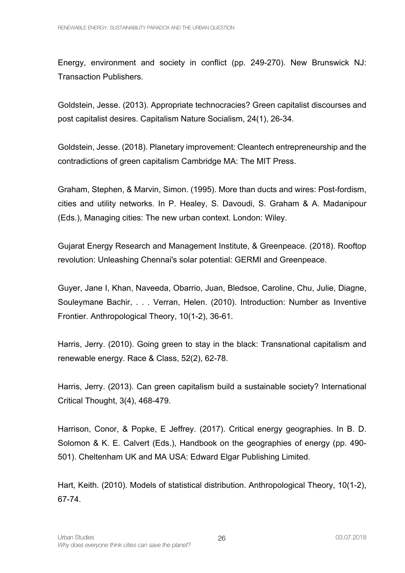Energy, environment and society in conflict (pp. 249-270). New Brunswick NJ: Transaction Publishers.

Goldstein, Jesse. (2013). Appropriate technocracies? Green capitalist discourses and post capitalist desires. Capitalism Nature Socialism, 24(1), 26-34.

Goldstein, Jesse. (2018). Planetary improvement: Cleantech entrepreneurship and the contradictions of green capitalism Cambridge MA: The MIT Press.

Graham, Stephen, & Marvin, Simon. (1995). More than ducts and wires: Post-fordism, cities and utility networks. In P. Healey, S. Davoudi, S. Graham & A. Madanipour (Eds.), Managing cities: The new urban context. London: Wiley.

Gujarat Energy Research and Management Institute, & Greenpeace. (2018). Rooftop revolution: Unleashing Chennai's solar potential: GERMI and Greenpeace.

Guyer, Jane I, Khan, Naveeda, Obarrio, Juan, Bledsoe, Caroline, Chu, Julie, Diagne, Souleymane Bachir, . . . Verran, Helen. (2010). Introduction: Number as Inventive Frontier. Anthropological Theory, 10(1-2), 36-61.

Harris, Jerry. (2010). Going green to stay in the black: Transnational capitalism and renewable energy. Race & Class, 52(2), 62-78.

Harris, Jerry. (2013). Can green capitalism build a sustainable society? International Critical Thought, 3(4), 468-479.

Harrison, Conor, & Popke, E Jeffrey. (2017). Critical energy geographies. In B. D. Solomon & K. E. Calvert (Eds.), Handbook on the geographies of energy (pp. 490- 501). Cheltenham UK and MA USA: Edward Elgar Publishing Limited.

Hart, Keith. (2010). Models of statistical distribution. Anthropological Theory, 10(1-2), 67-74.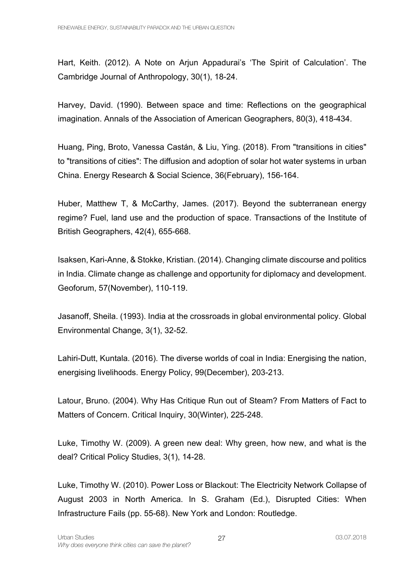Hart, Keith. (2012). A Note on Arjun Appadurai's 'The Spirit of Calculation'. The Cambridge Journal of Anthropology, 30(1), 18-24.

Harvey, David. (1990). Between space and time: Reflections on the geographical imagination. Annals of the Association of American Geographers, 80(3), 418-434.

Huang, Ping, Broto, Vanessa Castán, & Liu, Ying. (2018). From "transitions in cities" to "transitions of cities": The diffusion and adoption of solar hot water systems in urban China. Energy Research & Social Science, 36(February), 156-164.

Huber, Matthew T, & McCarthy, James. (2017). Beyond the subterranean energy regime? Fuel, land use and the production of space. Transactions of the Institute of British Geographers, 42(4), 655-668.

Isaksen, Kari-Anne, & Stokke, Kristian. (2014). Changing climate discourse and politics in India. Climate change as challenge and opportunity for diplomacy and development. Geoforum, 57(November), 110-119.

Jasanoff, Sheila. (1993). India at the crossroads in global environmental policy. Global Environmental Change, 3(1), 32-52.

Lahiri-Dutt, Kuntala. (2016). The diverse worlds of coal in India: Energising the nation, energising livelihoods. Energy Policy, 99(December), 203-213.

Latour, Bruno. (2004). Why Has Critique Run out of Steam? From Matters of Fact to Matters of Concern. Critical Inquiry, 30(Winter), 225-248.

Luke, Timothy W. (2009). A green new deal: Why green, how new, and what is the deal? Critical Policy Studies, 3(1), 14-28.

Luke, Timothy W. (2010). Power Loss or Blackout: The Electricity Network Collapse of August 2003 in North America. In S. Graham (Ed.), Disrupted Cities: When Infrastructure Fails (pp. 55-68). New York and London: Routledge.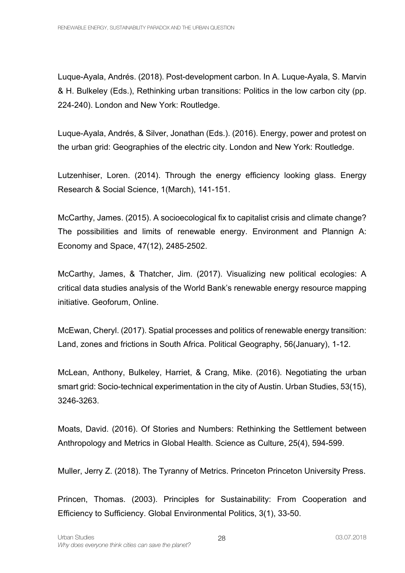Luque-Ayala, Andrés. (2018). Post-development carbon. In A. Luque-Ayala, S. Marvin & H. Bulkeley (Eds.), Rethinking urban transitions: Politics in the low carbon city (pp. 224-240). London and New York: Routledge.

Luque-Ayala, Andrés, & Silver, Jonathan (Eds.). (2016). Energy, power and protest on the urban grid: Geographies of the electric city. London and New York: Routledge.

Lutzenhiser, Loren. (2014). Through the energy efficiency looking glass. Energy Research & Social Science, 1(March), 141-151.

McCarthy, James. (2015). A socioecological fix to capitalist crisis and climate change? The possibilities and limits of renewable energy. Environment and Plannign A: Economy and Space, 47(12), 2485-2502.

McCarthy, James, & Thatcher, Jim. (2017). Visualizing new political ecologies: A critical data studies analysis of the World Bank's renewable energy resource mapping initiative. Geoforum, Online.

McEwan, Cheryl. (2017). Spatial processes and politics of renewable energy transition: Land, zones and frictions in South Africa. Political Geography, 56(January), 1-12.

McLean, Anthony, Bulkeley, Harriet, & Crang, Mike. (2016). Negotiating the urban smart grid: Socio-technical experimentation in the city of Austin. Urban Studies, 53(15), 3246-3263.

Moats, David. (2016). Of Stories and Numbers: Rethinking the Settlement between Anthropology and Metrics in Global Health. Science as Culture, 25(4), 594-599.

Muller, Jerry Z. (2018). The Tyranny of Metrics. Princeton Princeton University Press.

Princen, Thomas. (2003). Principles for Sustainability: From Cooperation and Efficiency to Sufficiency. Global Environmental Politics, 3(1), 33-50.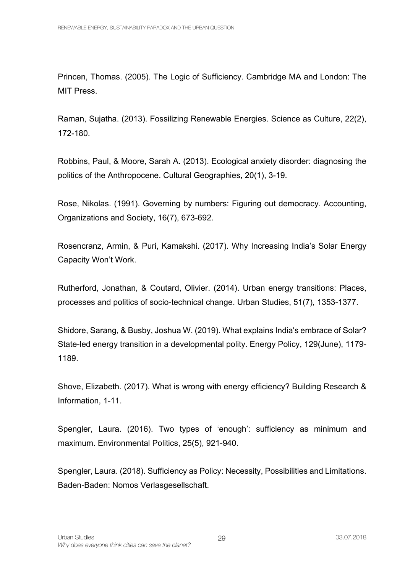Princen, Thomas. (2005). The Logic of Sufficiency. Cambridge MA and London: The MIT Press.

Raman, Sujatha. (2013). Fossilizing Renewable Energies. Science as Culture, 22(2), 172-180.

Robbins, Paul, & Moore, Sarah A. (2013). Ecological anxiety disorder: diagnosing the politics of the Anthropocene. Cultural Geographies, 20(1), 3-19.

Rose, Nikolas. (1991). Governing by numbers: Figuring out democracy. Accounting, Organizations and Society, 16(7), 673-692.

Rosencranz, Armin, & Puri, Kamakshi. (2017). Why Increasing India's Solar Energy Capacity Won't Work.

Rutherford, Jonathan, & Coutard, Olivier. (2014). Urban energy transitions: Places, processes and politics of socio-technical change. Urban Studies, 51(7), 1353-1377.

Shidore, Sarang, & Busby, Joshua W. (2019). What explains India's embrace of Solar? State-led energy transition in a developmental polity. Energy Policy, 129(June), 1179- 1189.

Shove, Elizabeth. (2017). What is wrong with energy efficiency? Building Research & Information, 1-11.

Spengler, Laura. (2016). Two types of 'enough': sufficiency as minimum and maximum. Environmental Politics, 25(5), 921-940.

Spengler, Laura. (2018). Sufficiency as Policy: Necessity, Possibilities and Limitations. Baden-Baden: Nomos Verlasgesellschaft.